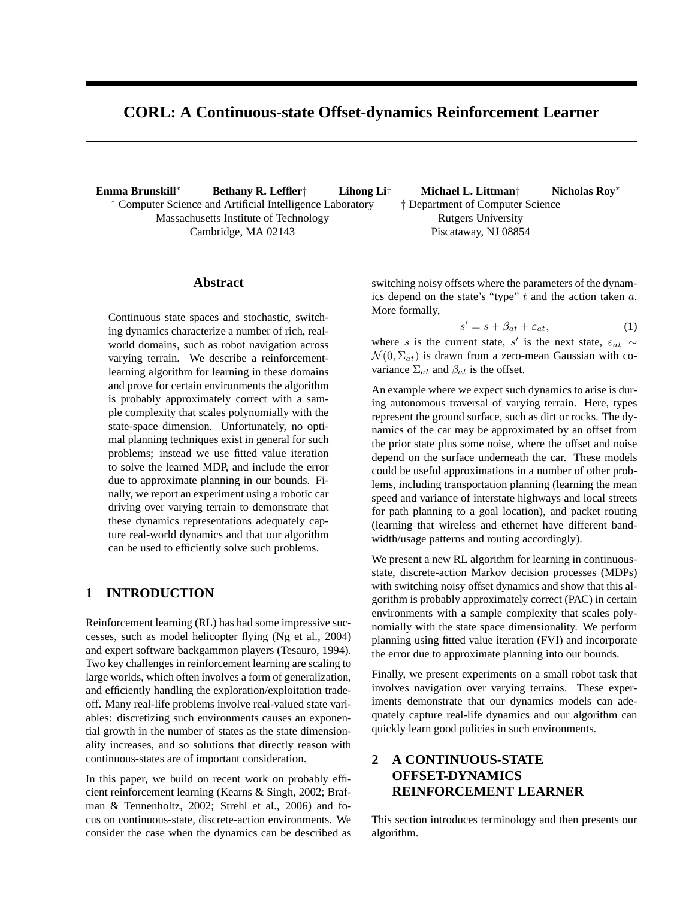# **CORL: A Continuous-state Offset-dynamics Reinforcement Learner**

**Emma Brunskill**<sup>∗</sup> **Bethany R. Leffler**† **Lihong Li**† ∗ Computer Science and Artificial Intelligence Laboratory Massachusetts Institute of Technology Cambridge, MA 02143

#### **Abstract**

Continuous state spaces and stochastic, switching dynamics characterize a number of rich, realworld domains, such as robot navigation across varying terrain. We describe a reinforcementlearning algorithm for learning in these domains and prove for certain environments the algorithm is probably approximately correct with a sample complexity that scales polynomially with the state-space dimension. Unfortunately, no optimal planning techniques exist in general for such problems; instead we use fitted value iteration to solve the learned MDP, and include the error due to approximate planning in our bounds. Finally, we report an experiment using a robotic car driving over varying terrain to demonstrate that these dynamics representations adequately capture real-world dynamics and that our algorithm can be used to efficiently solve such problems.

## **1 INTRODUCTION**

Reinforcement learning (RL) has had some impressive successes, such as model helicopter flying (Ng et al., 2004) and expert software backgammon players (Tesauro, 1994). Two key challenges in reinforcement learning are scaling to large worlds, which often involves a form of generalization, and efficiently handling the exploration/exploitation tradeoff. Many real-life problems involve real-valued state variables: discretizing such environments causes an exponential growth in the number of states as the state dimensionality increases, and so solutions that directly reason with continuous-states are of important consideration.

In this paper, we build on recent work on probably efficient reinforcement learning (Kearns & Singh, 2002; Brafman & Tennenholtz, 2002; Strehl et al., 2006) and focus on continuous-state, discrete-action environments. We consider the case when the dynamics can be described as

**Michael L. Littman**† **Nicholas Roy**<sup>∗</sup> † Department of Computer Science Rutgers University Piscataway, NJ 08854

switching noisy offsets where the parameters of the dynamics depend on the state's "type"  $t$  and the action taken  $a$ . More formally,

$$
s' = s + \beta_{at} + \varepsilon_{at},\tag{1}
$$

where s is the current state, s' is the next state,  $\varepsilon_{at} \sim$  $\mathcal{N}(0, \Sigma_{at})$  is drawn from a zero-mean Gaussian with covariance  $\Sigma_{at}$  and  $\beta_{at}$  is the offset.

An example where we expect such dynamics to arise is during autonomous traversal of varying terrain. Here, types represent the ground surface, such as dirt or rocks. The dynamics of the car may be approximated by an offset from the prior state plus some noise, where the offset and noise depend on the surface underneath the car. These models could be useful approximations in a number of other problems, including transportation planning (learning the mean speed and variance of interstate highways and local streets for path planning to a goal location), and packet routing (learning that wireless and ethernet have different bandwidth/usage patterns and routing accordingly).

We present a new RL algorithm for learning in continuousstate, discrete-action Markov decision processes (MDPs) with switching noisy offset dynamics and show that this algorithm is probably approximately correct (PAC) in certain environments with a sample complexity that scales polynomially with the state space dimensionality. We perform planning using fitted value iteration (FVI) and incorporate the error due to approximate planning into our bounds.

Finally, we present experiments on a small robot task that involves navigation over varying terrains. These experiments demonstrate that our dynamics models can adequately capture real-life dynamics and our algorithm can quickly learn good policies in such environments.

## **2 A CONTINUOUS-STATE OFFSET-DYNAMICS REINFORCEMENT LEARNER**

This section introduces terminology and then presents our algorithm.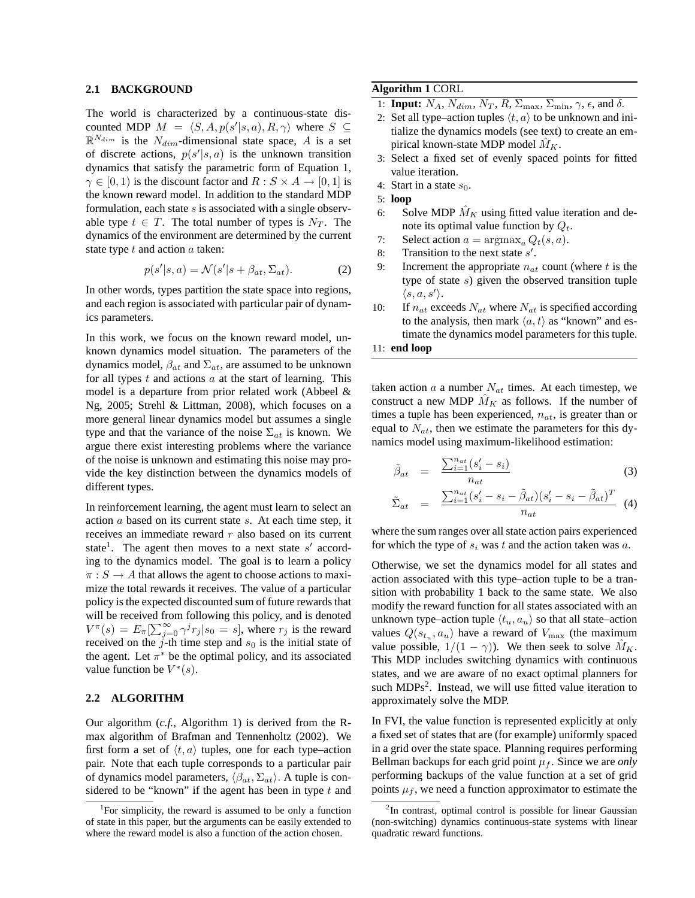#### **2.1 BACKGROUND**

The world is characterized by a continuous-state discounted MDP  $M = \langle S, A, p(s'|s, a), R, \gamma \rangle$  where  $S \subseteq$  $\mathbb{R}^{N_{dim}}$  is the  $N_{dim}$ -dimensional state space, A is a set of discrete actions,  $p(s'|s, a)$  is the unknown transition dynamics that satisfy the parametric form of Equation 1,  $\gamma \in [0, 1)$  is the discount factor and  $R : S \times A \rightarrow [0, 1]$  is the known reward model. In addition to the standard MDP formulation, each state  $s$  is associated with a single observable type  $t \in T$ . The total number of types is  $N_T$ . The dynamics of the environment are determined by the current state type  $t$  and action  $a$  taken:

$$
p(s'|s, a) = \mathcal{N}(s'|s + \beta_{at}, \Sigma_{at}).
$$
 (2)

In other words, types partition the state space into regions, and each region is associated with particular pair of dynamics parameters.

In this work, we focus on the known reward model, unknown dynamics model situation. The parameters of the dynamics model,  $\beta_{at}$  and  $\Sigma_{at}$ , are assumed to be unknown for all types  $t$  and actions  $a$  at the start of learning. This model is a departure from prior related work (Abbeel & Ng, 2005; Strehl & Littman, 2008), which focuses on a more general linear dynamics model but assumes a single type and that the variance of the noise  $\Sigma_{at}$  is known. We argue there exist interesting problems where the variance of the noise is unknown and estimating this noise may provide the key distinction between the dynamics models of different types.

In reinforcement learning, the agent must learn to select an action a based on its current state s. At each time step, it receives an immediate reward  $r$  also based on its current state<sup>1</sup>. The agent then moves to a next state  $s'$  according to the dynamics model. The goal is to learn a policy  $\pi : S \to A$  that allows the agent to choose actions to maximize the total rewards it receives. The value of a particular policy is the expected discounted sum of future rewards that will be received from following this policy, and is denoted  $V^{\pi}(s) = E_{\pi}[\sum_{j=0}^{\infty} \gamma^{j} r_{j} | s_{0} = s]$ , where  $r_{j}$  is the reward received on the  $j$ -th time step and  $s_0$  is the initial state of the agent. Let  $\pi^*$  be the optimal policy, and its associated value function be  $V^*(s)$ .

#### **2.2 ALGORITHM**

Our algorithm (*c.f.*, Algorithm 1) is derived from the Rmax algorithm of Brafman and Tennenholtz (2002). We first form a set of  $\langle t, a \rangle$  tuples, one for each type–action pair. Note that each tuple corresponds to a particular pair of dynamics model parameters,  $\langle \beta_{at}, \Sigma_{at} \rangle$ . A tuple is considered to be "known" if the agent has been in type  $t$  and

#### **Algorithm 1** CORL

- 1: **Input:**  $N_A$ ,  $N_{dim}$ ,  $N_T$ ,  $R$ ,  $\Sigma_{max}$ ,  $\Sigma_{min}$ ,  $\gamma$ ,  $\epsilon$ , and  $\delta$ .
- 2: Set all type–action tuples  $\langle t, a \rangle$  to be unknown and initialize the dynamics models (see text) to create an empirical known-state MDP model  $\hat{M}_K$ .
- 3: Select a fixed set of evenly spaced points for fitted value iteration.
- 4: Start in a state  $s_0$ .
- 5: **loop**
- 6: Solve MDP  $\hat{M}_K$  using fitted value iteration and denote its optimal value function by  $Q_t$ .
- 7: Select action  $a = \argmax_a Q_t(s, a)$ .
- 8: Transition to the next state  $s'$ .
- 9: Increment the appropriate  $n_{at}$  count (where t is the type of state s) given the observed transition tuple  $\langle s, a, s' \rangle.$
- 10: If  $n_{at}$  exceeds  $N_{at}$  where  $N_{at}$  is specified according to the analysis, then mark  $\langle a, t \rangle$  as "known" and estimate the dynamics model parameters for this tuple.

taken action a a number  $N_{at}$  times. At each timestep, we construct a new MDP  $\tilde{M}_K$  as follows. If the number of times a tuple has been experienced,  $n_{at}$ , is greater than or equal to  $N_{at}$ , then we estimate the parameters for this dynamics model using maximum-likelihood estimation:

$$
\tilde{\beta}_{at} = \frac{\sum_{i=1}^{n_{at}} (s_i' - s_i)}{n_{at}} \tag{3}
$$

$$
\tilde{\Sigma}_{at} = \frac{\sum_{i=1}^{n_{at}} (s_i' - s_i - \tilde{\beta}_{at})(s_i' - s_i - \tilde{\beta}_{at})^T}{n_{at}} \quad (4)
$$

where the sum ranges over all state action pairs experienced for which the type of  $s_i$  was t and the action taken was a.

Otherwise, we set the dynamics model for all states and action associated with this type–action tuple to be a transition with probability 1 back to the same state. We also modify the reward function for all states associated with an unknown type–action tuple  $\langle t_u, a_u \rangle$  so that all state–action values  $Q(s_{t_u}, a_u)$  have a reward of  $V_{\text{max}}$  (the maximum value possible,  $1/(1 - \gamma)$ ). We then seek to solve  $M_K$ . This MDP includes switching dynamics with continuous states, and we are aware of no exact optimal planners for such  $MDPs<sup>2</sup>$ . Instead, we will use fitted value iteration to approximately solve the MDP.

In FVI, the value function is represented explicitly at only a fixed set of states that are (for example) uniformly spaced in a grid over the state space. Planning requires performing Bellman backups for each grid point  $\mu_f$ . Since we are *only* performing backups of the value function at a set of grid points  $\mu_f$ , we need a function approximator to estimate the

<sup>&</sup>lt;sup>1</sup>For simplicity, the reward is assumed to be only a function of state in this paper, but the arguments can be easily extended to where the reward model is also a function of the action chosen.

<sup>11:</sup> **end loop**

<sup>&</sup>lt;sup>2</sup>In contrast, optimal control is possible for linear Gaussian (non-switching) dynamics continuous-state systems with linear quadratic reward functions.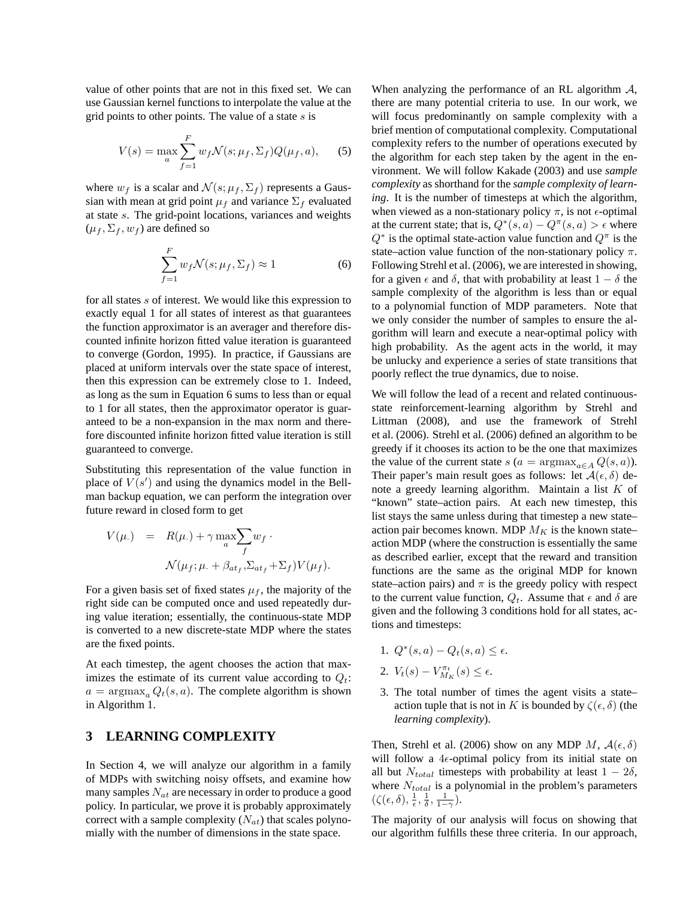value of other points that are not in this fixed set. We can use Gaussian kernel functions to interpolate the value at the grid points to other points. The value of a state s is

$$
V(s) = \max_{a} \sum_{f=1}^{F} w_f \mathcal{N}(s; \mu_f, \Sigma_f) Q(\mu_f, a), \quad (5)
$$

where  $w_f$  is a scalar and  $\mathcal{N}(s; \mu_f, \Sigma_f)$  represents a Gaussian with mean at grid point  $\mu_f$  and variance  $\Sigma_f$  evaluated at state s. The grid-point locations, variances and weights  $(\mu_f, \Sigma_f, w_f)$  are defined so

$$
\sum_{f=1}^{F} w_f \mathcal{N}(s; \mu_f, \Sigma_f) \approx 1 \tag{6}
$$

for all states s of interest. We would like this expression to exactly equal 1 for all states of interest as that guarantees the function approximator is an averager and therefore discounted infinite horizon fitted value iteration is guaranteed to converge (Gordon, 1995). In practice, if Gaussians are placed at uniform intervals over the state space of interest, then this expression can be extremely close to 1. Indeed, as long as the sum in Equation 6 sums to less than or equal to 1 for all states, then the approximator operator is guaranteed to be a non-expansion in the max norm and therefore discounted infinite horizon fitted value iteration is still guaranteed to converge.

Substituting this representation of the value function in place of  $V(s')$  and using the dynamics model in the Bellman backup equation, we can perform the integration over future reward in closed form to get

$$
V(\mu.) = R(\mu.) + \gamma \max_{a} \sum_{f} w_f \cdot
$$
  

$$
\mathcal{N}(\mu_f; \mu. + \beta_{at_f}, \Sigma_{at_f} + \Sigma_f) V(\mu_f).
$$

For a given basis set of fixed states  $\mu_f$ , the majority of the right side can be computed once and used repeatedly during value iteration; essentially, the continuous-state MDP is converted to a new discrete-state MDP where the states are the fixed points.

At each timestep, the agent chooses the action that maximizes the estimate of its current value according to  $Q_t$ :  $a = \argmax_a Q_t(s, a)$ . The complete algorithm is shown in Algorithm 1.

## **3 LEARNING COMPLEXITY**

In Section 4, we will analyze our algorithm in a family of MDPs with switching noisy offsets, and examine how many samples  $N_{at}$  are necessary in order to produce a good policy. In particular, we prove it is probably approximately correct with a sample complexity  $(N_{at})$  that scales polynomially with the number of dimensions in the state space.

When analyzing the performance of an RL algorithm A, there are many potential criteria to use. In our work, we will focus predominantly on sample complexity with a brief mention of computational complexity. Computational complexity refers to the number of operations executed by the algorithm for each step taken by the agent in the environment. We will follow Kakade (2003) and use *sample complexity* as shorthand for the *sample complexity of learning*. It is the number of timesteps at which the algorithm, when viewed as a non-stationary policy  $\pi$ , is not  $\epsilon$ -optimal at the current state; that is,  $Q^*(s, a) - Q^{\pi}(s, a) > \epsilon$  where  $Q^*$  is the optimal state-action value function and  $Q^{\pi}$  is the state–action value function of the non-stationary policy  $\pi$ . Following Strehl et al. (2006), we are interested in showing, for a given  $\epsilon$  and  $\delta$ , that with probability at least  $1 - \delta$  the sample complexity of the algorithm is less than or equal to a polynomial function of MDP parameters. Note that we only consider the number of samples to ensure the algorithm will learn and execute a near-optimal policy with high probability. As the agent acts in the world, it may be unlucky and experience a series of state transitions that poorly reflect the true dynamics, due to noise.

We will follow the lead of a recent and related continuousstate reinforcement-learning algorithm by Strehl and Littman (2008), and use the framework of Strehl et al. (2006). Strehl et al. (2006) defined an algorithm to be greedy if it chooses its action to be the one that maximizes the value of the current state s ( $a = \arg \max_{a \in A} Q(s, a)$ ). Their paper's main result goes as follows: let  $A(\epsilon, \delta)$  denote a greedy learning algorithm. Maintain a list  $K$  of "known" state–action pairs. At each new timestep, this list stays the same unless during that timestep a new state– action pair becomes known. MDP  $M_K$  is the known state– action MDP (where the construction is essentially the same as described earlier, except that the reward and transition functions are the same as the original MDP for known state–action pairs) and  $\pi$  is the greedy policy with respect to the current value function,  $Q_t$ . Assume that  $\epsilon$  and  $\delta$  are given and the following 3 conditions hold for all states, actions and timesteps:

- 1.  $Q^*(s, a) Q_t(s, a) \leq \epsilon$ .
- 2.  $V_t(s) V_{M_K}^{\pi_t}(s) \leq \epsilon$ .
- 3. The total number of times the agent visits a state– action tuple that is not in K is bounded by  $\zeta(\epsilon, \delta)$  (the *learning complexity*).

Then, Strehl et al. (2006) show on any MDP M,  $\mathcal{A}(\epsilon, \delta)$ will follow a 4 $\epsilon$ -optimal policy from its initial state on all but  $N_{total}$  timesteps with probability at least  $1 - 2\delta$ , where  $N_{total}$  is a polynomial in the problem's parameters  $(\zeta(\epsilon, \delta), \frac{1}{\epsilon}, \frac{1}{\delta}, \frac{1}{1-\gamma}).$ 

The majority of our analysis will focus on showing that our algorithm fulfills these three criteria. In our approach,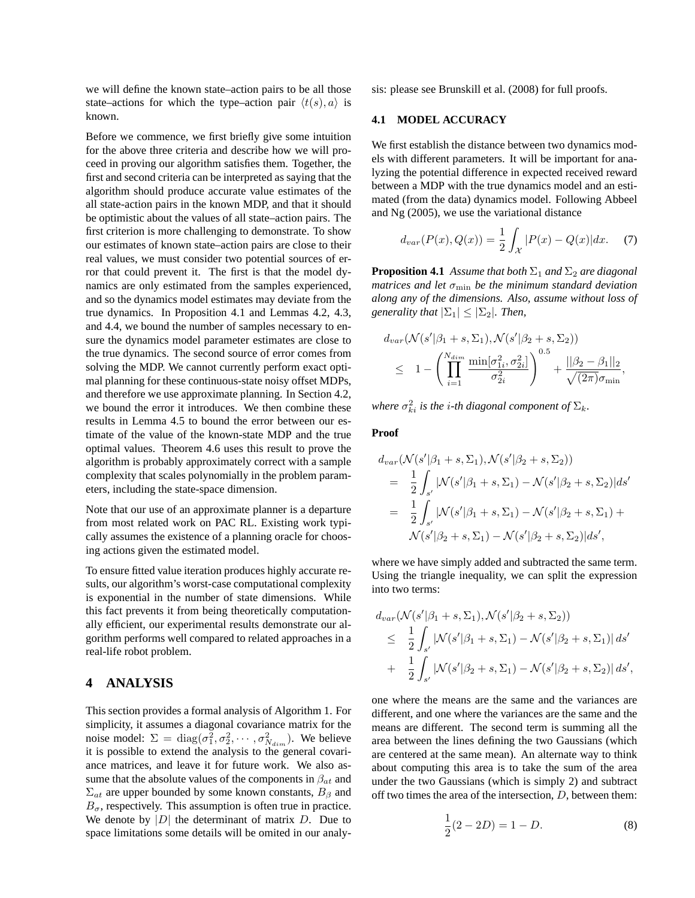we will define the known state–action pairs to be all those state–actions for which the type–action pair  $\langle t(s), a \rangle$  is known.

Before we commence, we first briefly give some intuition for the above three criteria and describe how we will proceed in proving our algorithm satisfies them. Together, the first and second criteria can be interpreted as saying that the algorithm should produce accurate value estimates of the all state-action pairs in the known MDP, and that it should be optimistic about the values of all state–action pairs. The first criterion is more challenging to demonstrate. To show our estimates of known state–action pairs are close to their real values, we must consider two potential sources of error that could prevent it. The first is that the model dynamics are only estimated from the samples experienced, and so the dynamics model estimates may deviate from the true dynamics. In Proposition 4.1 and Lemmas 4.2, 4.3, and 4.4, we bound the number of samples necessary to ensure the dynamics model parameter estimates are close to the true dynamics. The second source of error comes from solving the MDP. We cannot currently perform exact optimal planning for these continuous-state noisy offset MDPs, and therefore we use approximate planning. In Section 4.2, we bound the error it introduces. We then combine these results in Lemma 4.5 to bound the error between our estimate of the value of the known-state MDP and the true optimal values. Theorem 4.6 uses this result to prove the algorithm is probably approximately correct with a sample complexity that scales polynomially in the problem parameters, including the state-space dimension.

Note that our use of an approximate planner is a departure from most related work on PAC RL. Existing work typically assumes the existence of a planning oracle for choosing actions given the estimated model.

To ensure fitted value iteration produces highly accurate results, our algorithm's worst-case computational complexity is exponential in the number of state dimensions. While this fact prevents it from being theoretically computationally efficient, our experimental results demonstrate our algorithm performs well compared to related approaches in a real-life robot problem.

## **4 ANALYSIS**

This section provides a formal analysis of Algorithm 1. For simplicity, it assumes a diagonal covariance matrix for the noise model:  $\Sigma = \text{diag}(\sigma_1^2, \sigma_2^2, \cdots, \sigma_{N_{dim}}^2)$ . We believe it is possible to extend the analysis to the general covariance matrices, and leave it for future work. We also assume that the absolute values of the components in  $\beta_{at}$  and  $\Sigma_{at}$  are upper bounded by some known constants,  $B_{\beta}$  and  $B_{\sigma}$ , respectively. This assumption is often true in practice. We denote by  $|D|$  the determinant of matrix D. Due to space limitations some details will be omited in our analysis: please see Brunskill et al. (2008) for full proofs.

### **4.1 MODEL ACCURACY**

We first establish the distance between two dynamics models with different parameters. It will be important for analyzing the potential difference in expected received reward between a MDP with the true dynamics model and an estimated (from the data) dynamics model. Following Abbeel and Ng (2005), we use the variational distance

$$
d_{var}(P(x), Q(x)) = \frac{1}{2} \int_{\mathcal{X}} |P(x) - Q(x)| dx. \tag{7}
$$

**Proposition 4.1** *Assume that both*  $\Sigma_1$  *and*  $\Sigma_2$  *are diagonal matrices and let*  $\sigma_{\min}$  *be the minimum standard deviation along any of the dimensions. Also, assume without loss of generality that*  $|\Sigma_1| \leq |\Sigma_2|$ *. Then,* 

$$
d_{var}(\mathcal{N}(s'|\beta_1 + s, \Sigma_1), \mathcal{N}(s'|\beta_2 + s, \Sigma_2))
$$
  
 
$$
\leq 1 - \left(\prod_{i=1}^{N_{dim}} \frac{\min[\sigma_{1i}^2, \sigma_{2i}^2]}{\sigma_{2i}^2}\right)^{0.5} + \frac{||\beta_2 - \beta_1||_2}{\sqrt{(2\pi)}\sigma_{\min}},
$$

where  $\sigma_{ki}^2$  is the *i*-th diagonal component of  $\Sigma_k$ .

#### **Proof**

$$
d_{var}(\mathcal{N}(s'|\beta_1 + s, \Sigma_1), \mathcal{N}(s'|\beta_2 + s, \Sigma_2))
$$
  
=  $\frac{1}{2} \int_{s'} |\mathcal{N}(s'|\beta_1 + s, \Sigma_1) - \mathcal{N}(s'|\beta_2 + s, \Sigma_2)| ds'$   
=  $\frac{1}{2} \int_{s'} |\mathcal{N}(s'|\beta_1 + s, \Sigma_1) - \mathcal{N}(s'|\beta_2 + s, \Sigma_1) + \mathcal{N}(s'|\beta_2 + s, \Sigma_1) - \mathcal{N}(s'|\beta_2 + s, \Sigma_2)| ds',$ 

where we have simply added and subtracted the same term. Using the triangle inequality, we can split the expression into two terms:

$$
d_{var}(\mathcal{N}(s'|\beta_1 + s, \Sigma_1), \mathcal{N}(s'|\beta_2 + s, \Sigma_2))
$$
  
\n
$$
\leq \frac{1}{2} \int_{s'} |\mathcal{N}(s'|\beta_1 + s, \Sigma_1) - \mathcal{N}(s'|\beta_2 + s, \Sigma_1)| ds'
$$
  
\n
$$
+ \frac{1}{2} \int_{s'} |\mathcal{N}(s'|\beta_2 + s, \Sigma_1) - \mathcal{N}(s'|\beta_2 + s, \Sigma_2)| ds',
$$

one where the means are the same and the variances are different, and one where the variances are the same and the means are different. The second term is summing all the area between the lines defining the two Gaussians (which are centered at the same mean). An alternate way to think about computing this area is to take the sum of the area under the two Gaussians (which is simply 2) and subtract off two times the area of the intersection, D, between them:

$$
\frac{1}{2}(2 - 2D) = 1 - D.
$$
 (8)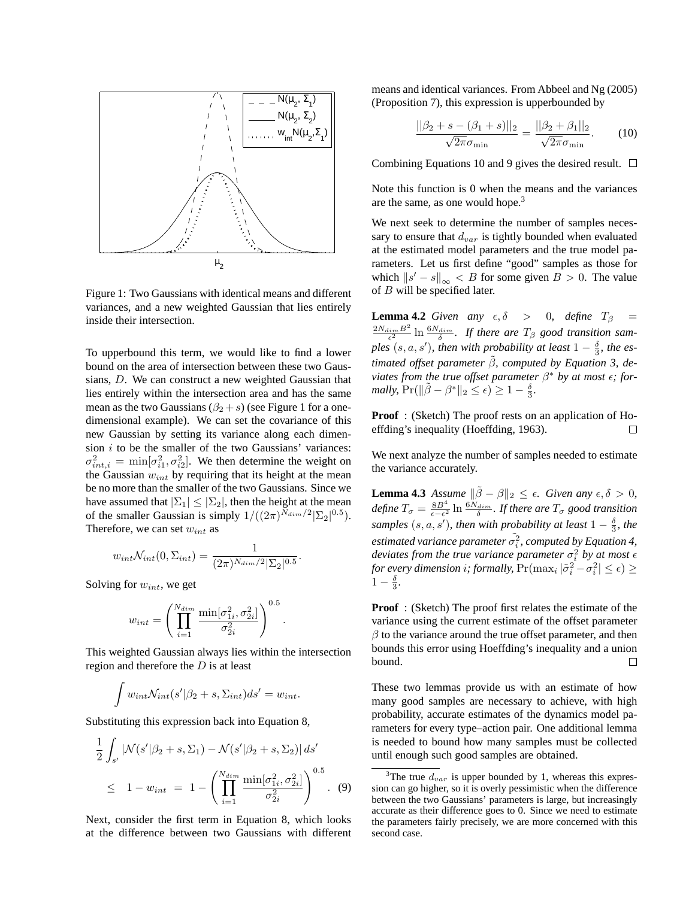

Figure 1: Two Gaussians with identical means and different variances, and a new weighted Gaussian that lies entirely inside their intersection.

To upperbound this term, we would like to find a lower bound on the area of intersection between these two Gaussians, D. We can construct a new weighted Gaussian that lies entirely within the intersection area and has the same mean as the two Gaussians  $(\beta_2 + s)$  (see Figure 1 for a onedimensional example). We can set the covariance of this new Gaussian by setting its variance along each dimension  $i$  to be the smaller of the two Gaussians' variances:  $\sigma_{int,i}^2 = \min[\sigma_{i1}^2, \sigma_{i2}^2]$ . We then determine the weight on the Gaussian  $w_{int}$  by requiring that its height at the mean be no more than the smaller of the two Gaussians. Since we have assumed that  $|\Sigma_1| \leq |\Sigma_2|$ , then the height at the mean of the smaller Gaussian is simply  $1/((2\pi)^{N_{dim}/2}|\Sigma_2|^{0.5})$ . Therefore, we can set  $w_{int}$  as

$$
w_{int} \mathcal{N}_{int}(0, \Sigma_{int}) = \frac{1}{(2\pi)^{N_{dim}/2} |\Sigma_2|^{0.5}}.
$$

Solving for  $w_{int}$ , we get

$$
w_{int} = \left(\prod_{i=1}^{N_{dim}} \frac{\min[\sigma_{1i}^2, \sigma_{2i}^2]}{\sigma_{2i}^2}\right)^{0.5}.
$$

This weighted Gaussian always lies within the intersection region and therefore the  $D$  is at least

$$
\int w_{int} \mathcal{N}_{int}(s'|\beta_2 + s, \Sigma_{int}) ds' = w_{int}.
$$

Substituting this expression back into Equation 8,

$$
\frac{1}{2} \int_{s'} |\mathcal{N}(s'|\beta_2 + s, \Sigma_1) - \mathcal{N}(s'|\beta_2 + s, \Sigma_2)| ds' \n\leq 1 - w_{int} = 1 - \left(\prod_{i=1}^{N_{dim}} \frac{\min[\sigma_{1i}^2, \sigma_{2i}^2]}{\sigma_{2i}^2}\right)^{0.5}.
$$
\n(9)

Next, consider the first term in Equation 8, which looks at the difference between two Gaussians with different means and identical variances. From Abbeel and Ng (2005) (Proposition 7), this expression is upperbounded by

$$
\frac{||\beta_2 + s - (\beta_1 + s)||_2}{\sqrt{2\pi}\sigma_{\min}} = \frac{||\beta_2 + \beta_1||_2}{\sqrt{2\pi}\sigma_{\min}}.
$$
 (10)

Combining Equations 10 and 9 gives the desired result.  $\Box$ 

Note this function is 0 when the means and the variances are the same, as one would hope.<sup>3</sup>

We next seek to determine the number of samples necessary to ensure that  $d_{var}$  is tightly bounded when evaluated at the estimated model parameters and the true model parameters. Let us first define "good" samples as those for which  $\|s' - s\|_{\infty} \leq B$  for some given  $B > 0$ . The value of B will be specified later.

**Lemma 4.2** *Given any*  $\epsilon, \delta > 0$ , *define*  $T_{\beta} =$  $\frac{2N_{dim}B^2}{\epsilon^2}\ln\frac{6N_{dim}}{\delta}$ . If there are  $T_\beta$  good transition sam*ples*  $(s, a, s')$ *, then with probability at least*  $1 - \frac{\delta}{3}$ *, the estimated offset parameter*  $\tilde{\beta}$ *, computed by Equation 3, deviates from the true offset parameter*  $\beta^*$  *by at most*  $\epsilon$ *; formally,*  $Pr(||\tilde{\beta} - \beta^*||_2 \le \epsilon) \ge 1 - \frac{\delta}{3}$ .

**Proof** : (Sketch) The proof rests on an application of Hoeffding's inequality (Hoeffding, 1963).  $\Box$ 

We next analyze the number of samples needed to estimate the variance accurately.

**Lemma 4.3** *Assume*  $\|\tilde{\beta} - \beta\|_2 \leq \epsilon$ *. Given any*  $\epsilon, \delta > 0$ *, define*  $T_{\sigma} = \frac{8B^4}{\epsilon - \epsilon^2}$  $\frac{8B^4}{\epsilon-\epsilon^2}$  ln  $\frac{6N_{dim}}{\delta}$ *. If there are*  $T_\sigma$  *good transition samples*  $(s, a, s')$ *, then with probability at least*  $1 - \frac{\delta}{3}$ *, the* estimated variance parameter  $\tilde{\sigma_i^2}$ , computed by Equation 4, *deviates from the true variance parameter*  $\sigma_i^2$  *by at most*  $\epsilon$ *for every dimension i; formally,*  $Pr(max_i | \tilde{\sigma}_i^2 - \sigma_i^2 | \le \epsilon) \ge$  $1 - \frac{\delta}{3}$ .

**Proof** : (Sketch) The proof first relates the estimate of the variance using the current estimate of the offset parameter  $\beta$  to the variance around the true offset parameter, and then bounds this error using Hoeffding's inequality and a union bound. П

These two lemmas provide us with an estimate of how many good samples are necessary to achieve, with high probability, accurate estimates of the dynamics model parameters for every type–action pair. One additional lemma is needed to bound how many samples must be collected until enough such good samples are obtained.

<sup>&</sup>lt;sup>3</sup>The true  $d_{var}$  is upper bounded by 1, whereas this expression can go higher, so it is overly pessimistic when the difference between the two Gaussians' parameters is large, but increasingly accurate as their difference goes to 0. Since we need to estimate the parameters fairly precisely, we are more concerned with this second case.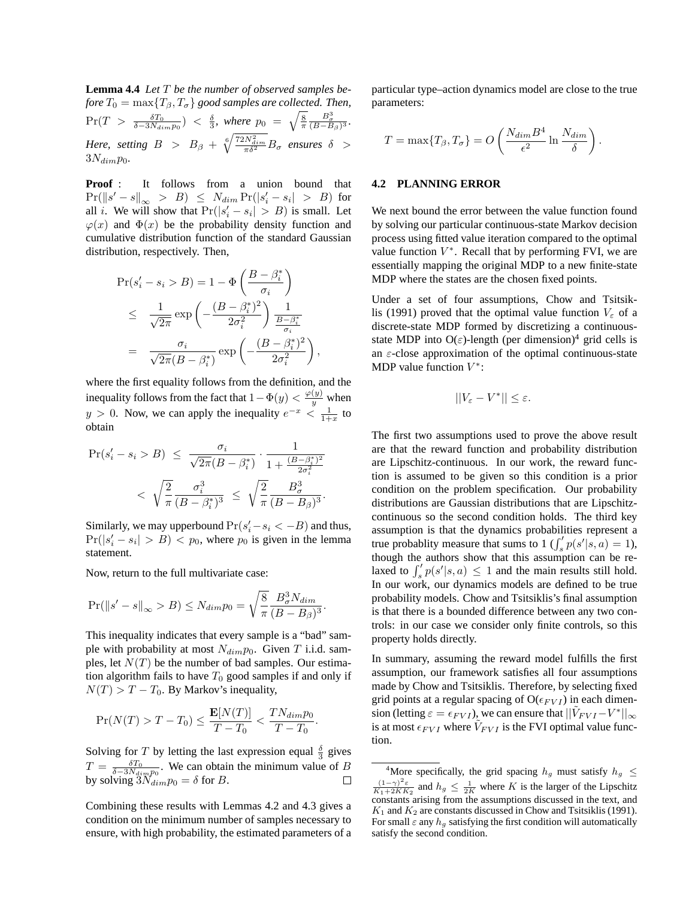**Lemma 4.4** *Let* T *be the number of observed samples before*  $T_0 = \max\{T_\beta, T_\sigma\}$  *good samples are collected. Then,*  $\Pr(T > \frac{\delta T_0}{\delta - 3N_{dim}p_0}) \; < \; \frac{\delta}{3}, \; where \; p_0 \; = \; \sqrt{\frac{8}{\pi}}$  $rac{B_{\sigma}^3}{(B-B_{\beta})^3}$ . *Here, setting*  $B > B_{\beta} + \sqrt[6]{\frac{72N_{dim}^2}{\pi \delta^2}}B_{\sigma}$  ensures  $\delta >$  $3N_{dim}p_0$ .

**Proof** : It follows from a union bound that  $\Pr(\left\|s'-s\right\|_{\infty} > B) \leq N_{dim} \Pr(\left|s'-s_i\right| > B)$  for all *i*. We will show that  $Pr(|s'_i - s_i| > B)$  is small. Let  $\varphi(x)$  and  $\Phi(x)$  be the probability density function and cumulative distribution function of the standard Gaussian distribution, respectively. Then,

$$
\Pr(s'_i - s_i > B) = 1 - \Phi\left(\frac{B - \beta_i^*}{\sigma_i}\right)
$$
\n
$$
\leq \frac{1}{\sqrt{2\pi}} \exp\left(-\frac{(B - \beta_i^*)^2}{2\sigma_i^2}\right) \frac{1}{\frac{B - \beta_i^*}{\sigma_i}}
$$
\n
$$
= \frac{\sigma_i}{\sqrt{2\pi}(B - \beta_i^*)} \exp\left(-\frac{(B - \beta_i^*)^2}{2\sigma_i^2}\right),
$$

where the first equality follows from the definition, and the inequality follows from the fact that  $1 - \Phi(y) < \frac{\varphi(y)}{y}$  when  $y > 0$ . Now, we can apply the inequality  $e^{-x} < \frac{1}{1+x}$  to obtain

$$
\Pr(s_i' - s_i > B) \leq \frac{\sigma_i}{\sqrt{2\pi}(B - \beta_i^*)} \cdot \frac{1}{1 + \frac{(B - \beta_i^*)^2}{2\sigma_i^2}} \\
\leq \sqrt{\frac{2}{\pi} \frac{\sigma_i^3}{(B - \beta_i^*)^3}} \leq \sqrt{\frac{2}{\pi} \frac{B_\sigma^3}{(B - B_\beta)^3}}.
$$

Similarly, we may upperbound  $Pr(s'_i - s_i < -B)$  and thus,  $Pr(|s'_i - s_i| > B) < p_0$ , where  $p_0$  is given in the lemma statement.

Now, return to the full multivariate case:

$$
\Pr(||s' - s||_{\infty} > B) \le N_{dim} p_0 = \sqrt{\frac{8}{\pi}} \frac{B_\sigma^3 N_{dim}}{(B - B_\beta)^3}.
$$

This inequality indicates that every sample is a "bad" sample with probability at most  $N_{dim}p_0$ . Given T i.i.d. samples, let  $N(T)$  be the number of bad samples. Our estimation algorithm fails to have  $T_0$  good samples if and only if  $N(T) > T - T_0$ . By Markov's inequality,

$$
\Pr(N(T) > T - T_0) \le \frac{\mathbf{E}[N(T)]}{T - T_0} < \frac{T N_{dim} p_0}{T - T_0}
$$

Solving for T by letting the last expression equal  $\frac{\delta}{3}$  gives  $T = \frac{\delta T_0}{\delta - 3N_{\text{dyn}} p_0}$ . We can obtain the minimum value of B by solving  $\overline{3}N_{dim}p_0 = \delta$  for B.

.

Combining these results with Lemmas 4.2 and 4.3 gives a condition on the minimum number of samples necessary to ensure, with high probability, the estimated parameters of a

particular type–action dynamics model are close to the true parameters:

$$
T = \max\{T_{\beta}, T_{\sigma}\} = O\left(\frac{N_{dim}B^4}{\epsilon^2} \ln \frac{N_{dim}}{\delta}\right).
$$

#### **4.2 PLANNING ERROR**

We next bound the error between the value function found by solving our particular continuous-state Markov decision process using fitted value iteration compared to the optimal value function  $V^*$ . Recall that by performing FVI, we are essentially mapping the original MDP to a new finite-state MDP where the states are the chosen fixed points.

Under a set of four assumptions, Chow and Tsitsiklis (1991) proved that the optimal value function  $V_{\varepsilon}$  of a discrete-state MDP formed by discretizing a continuousstate MDP into  $O(\varepsilon)$ -length (per dimension)<sup>4</sup> grid cells is an  $\varepsilon$ -close approximation of the optimal continuous-state MDP value function  $V^*$ :

$$
||V_{\varepsilon} - V^*|| \leq \varepsilon.
$$

The first two assumptions used to prove the above result are that the reward function and probability distribution are Lipschitz-continuous. In our work, the reward function is assumed to be given so this condition is a prior condition on the problem specification. Our probability distributions are Gaussian distributions that are Lipschitzcontinuous so the second condition holds. The third key assumption is that the dynamics probabilities represent a true probablity measure that sums to  $1 \int_{s}^{t} p(s' | s, a) = 1$ ), though the authors show that this assumption can be relaxed to  $\int'_{s} p(s'|s, a) \leq 1$  and the main results still hold. In our work, our dynamics models are defined to be true probability models. Chow and Tsitsiklis's final assumption is that there is a bounded difference between any two controls: in our case we consider only finite controls, so this property holds directly.

In summary, assuming the reward model fulfills the first assumption, our framework satisfies all four assumptions made by Chow and Tsitsiklis. Therefore, by selecting fixed grid points at a regular spacing of  $O(\epsilon_{FVI})$  in each dimension (letting  $\varepsilon = \epsilon_{FVI}$ ), we can ensure that  $||\tilde{V}_{FVI} - V^*||_{\infty}$ is at most  $\epsilon_{FVI}$  where  $\tilde{V}_{FVI}$  is the FVI optimal value function.

<sup>&</sup>lt;sup>4</sup>More specifically, the grid spacing  $h_g$  must satisfy  $h_g \leq$  $\frac{(1-\gamma)^2 \varepsilon}{K_1+2KK_2}$  and  $h_g \leq \frac{1}{2K}$  where K is the larger of the Lipschitz constants arising from the assumptions discussed in the text, and  $K_1$  and  $K_2$  are constants discussed in Chow and Tsitsiklis (1991). For small  $\varepsilon$  any  $h_g$  satisfying the first condition will automatically satisfy the second condition.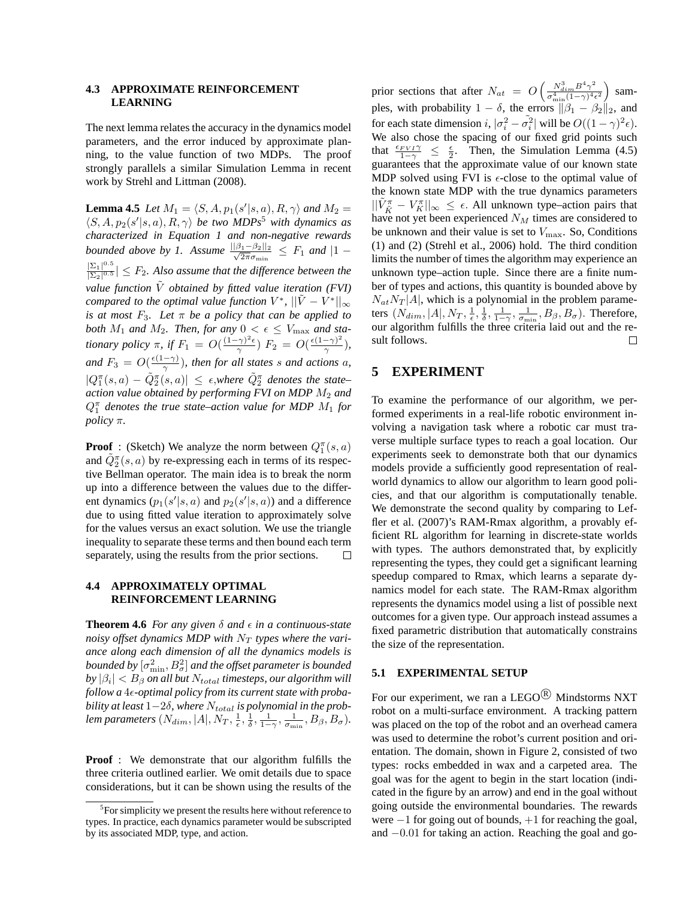## **4.3 APPROXIMATE REINFORCEMENT LEARNING**

The next lemma relates the accuracy in the dynamics model parameters, and the error induced by approximate planning, to the value function of two MDPs. The proof strongly parallels a similar Simulation Lemma in recent work by Strehl and Littman (2008).

**Lemma 4.5** *Let*  $M_1 = \langle S, A, p_1(s'|s, a), R, \gamma \rangle$  *and*  $M_2 =$  $\langle S, A, p_2(s' | s, a), R, \gamma \rangle$  *be two MDPs<sup>5</sup> with dynamics as characterized in Equation 1 and non-negative rewards bounded above by 1.* Assume  $\frac{||\beta_1 - \beta_2||_2}{\sqrt{2\pi}\sigma_{\min}} \leq F_1$  and  $|1 - \sigma|$  $\frac{\sum_{1}^{\infty}1^{0.5}}{\sum_{1}^{\infty}1}$  $\frac{|\Sigma_1|}{|\Sigma_2|^{0.5}} \leq F_2$ . Also assume that the difference between the *value function*  $\tilde{V}$  *obtained by fitted value iteration (FVI) compared to the optimal value function*  $V^*$ ,  $||\tilde{V} - V^*||_{\infty}$ *is at most*  $F_3$ *. Let*  $\pi$  *be a policy that can be applied to both*  $M_1$  *and*  $M_2$ *. Then, for any*  $0 < \epsilon \leq V_{\text{max}}$  *and stationary policy*  $\pi$ , if  $F_1 = O(\frac{(1-\gamma)^2 \epsilon}{\gamma})$  $(\frac{\gamma}{\gamma})^2 \epsilon$ )  $F_2 = O(\frac{\epsilon(1-\gamma)^2}{\gamma})$  $\frac{-\gamma)}{\gamma}$ ), *and*  $F_3 = O(\frac{\epsilon(1-\gamma)}{\gamma})$ *, then for all states s and actions a,*  $|Q_1^{\pi}(s, a) - \tilde{Q}_2^{\pi}(s, a)| \leq \epsilon$ , where  $\tilde{Q}_2^{\pi}$  denotes the state– *action value obtained by performing FVI on MDP* M<sup>2</sup> *and*  $Q_1^{\pi}$  *denotes the true state–action value for MDP*  $M_1$  *for policy* π*.*

**Proof**: (Sketch) We analyze the norm between  $Q_1^{\pi}(s, a)$ and  $\tilde{Q}_2^{\pi}(s, a)$  by re-expressing each in terms of its respective Bellman operator. The main idea is to break the norm up into a difference between the values due to the different dynamics  $(p_1(s'|s, a)$  and  $p_2(s'|s, a))$  and a difference due to using fitted value iteration to approximately solve for the values versus an exact solution. We use the triangle inequality to separate these terms and then bound each term separately, using the results from the prior sections.  $\Box$ 

### **4.4 APPROXIMATELY OPTIMAL REINFORCEMENT LEARNING**

**Theorem 4.6** *For any given*  $\delta$  *and*  $\epsilon$  *in a continuous-state noisy offset dynamics MDP with*  $N_T$  *types where the variance along each dimension of all the dynamics models is* bounded by  $[\sigma_{\min}^2,B_{\sigma}^2]$  and the offset parameter is bounded  $|by\hspace{0.02cm}|\beta_{i}| < B_{\beta}$  on all but  $N_{total}$  timesteps, our algorithm will *follow a* 4ǫ*-optimal policy from its current state with proba* $bility$  at least  $1-2\delta$ , where  $N_{total}$  is polynomial in the prob*lem parameters*  $(N_{dim}, |A|, N_T, \frac{1}{\epsilon}, \frac{1}{\delta}, \frac{1}{1-\gamma}, \frac{1}{\sigma_{min}}, B_\beta, B_\sigma)$ .

**Proof** : We demonstrate that our algorithm fulfills the three criteria outlined earlier. We omit details due to space considerations, but it can be shown using the results of the

prior sections that after  $N_{at} = O\left(\frac{N_{dim}^3 B^4 \gamma^2}{\sigma^4 \sqrt{(1-\gamma)^4}}\right)$  $\frac{N_{dim}^3 B^4 \gamma^2}{\sigma_{\min}^4 (1-\gamma)^4 \epsilon^2}$ ) samples, with probability  $1 - \delta$ , the errors  $\|\beta_1 - \beta_2\|_2$ , and for each state dimension  $i, |\sigma_i^2 - \tilde{\sigma}_i^2|$  will be  $O((1 - \gamma)^2 \epsilon)$ . We also chose the spacing of our fixed grid points such that  $\frac{\epsilon_{FVI}}{1-\gamma} \leq \frac{\epsilon}{2}$ . Then, the Simulation Lemma (4.5) guarantees that the approximate value of our known state MDP solved using FVI is  $\epsilon$ -close to the optimal value of the known state MDP with the true dynamics parameters  $||\tilde{V}_{\tilde{K}}^{\pi} - V_K^{\pi}||_{\infty} \leq \epsilon$ . All unknown type–action pairs that have not yet been experienced  $N_M$  times are considered to be unknown and their value is set to  $V_{\text{max}}$ . So, Conditions (1) and (2) (Strehl et al., 2006) hold. The third condition limits the number of times the algorithm may experience an unknown type–action tuple. Since there are a finite number of types and actions, this quantity is bounded above by  $N_{at}N_T$ |A|, which is a polynomial in the problem parameters  $(N_{\dim}, |A|, N_T, \frac{1}{\epsilon}, \frac{1}{\delta}, \frac{1}{1-\gamma}, \frac{1}{\sigma_{\min}}, B_{\beta}, B_{\sigma})$ . Therefore, our algorithm fulfills the three criteria laid out and the result follows. □

### **5 EXPERIMENT**

To examine the performance of our algorithm, we performed experiments in a real-life robotic environment involving a navigation task where a robotic car must traverse multiple surface types to reach a goal location. Our experiments seek to demonstrate both that our dynamics models provide a sufficiently good representation of realworld dynamics to allow our algorithm to learn good policies, and that our algorithm is computationally tenable. We demonstrate the second quality by comparing to Leffler et al. (2007)'s RAM-Rmax algorithm, a provably efficient RL algorithm for learning in discrete-state worlds with types. The authors demonstrated that, by explicitly representing the types, they could get a significant learning speedup compared to Rmax, which learns a separate dynamics model for each state. The RAM-Rmax algorithm represents the dynamics model using a list of possible next outcomes for a given type. Our approach instead assumes a fixed parametric distribution that automatically constrains the size of the representation.

#### **5.1 EXPERIMENTAL SETUP**

For our experiment, we ran a LEGO $\mathbb{R}$  Mindstorms NXT robot on a multi-surface environment. A tracking pattern was placed on the top of the robot and an overhead camera was used to determine the robot's current position and orientation. The domain, shown in Figure 2, consisted of two types: rocks embedded in wax and a carpeted area. The goal was for the agent to begin in the start location (indicated in the figure by an arrow) and end in the goal without going outside the environmental boundaries. The rewards were  $-1$  for going out of bounds,  $+1$  for reaching the goal, and −0.01 for taking an action. Reaching the goal and go-

<sup>&</sup>lt;sup>5</sup>For simplicity we present the results here without reference to types. In practice, each dynamics parameter would be subscripted by its associated MDP, type, and action.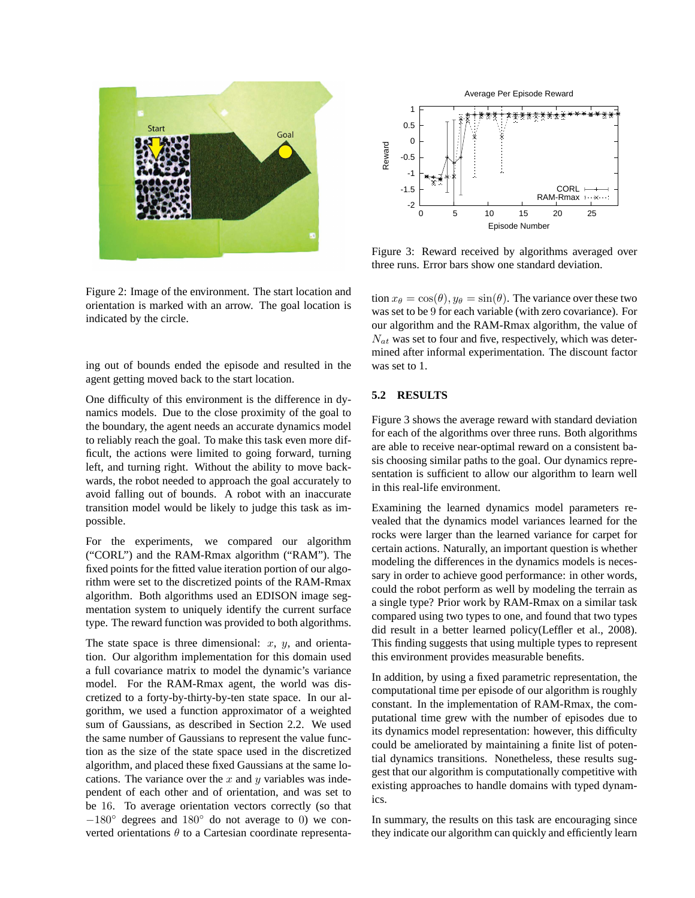

Figure 2: Image of the environment. The start location and orientation is marked with an arrow. The goal location is indicated by the circle.

ing out of bounds ended the episode and resulted in the agent getting moved back to the start location.

One difficulty of this environment is the difference in dynamics models. Due to the close proximity of the goal to the boundary, the agent needs an accurate dynamics model to reliably reach the goal. To make this task even more difficult, the actions were limited to going forward, turning left, and turning right. Without the ability to move backwards, the robot needed to approach the goal accurately to avoid falling out of bounds. A robot with an inaccurate transition model would be likely to judge this task as impossible.

For the experiments, we compared our algorithm ("CORL") and the RAM-Rmax algorithm ("RAM"). The fixed points for the fitted value iteration portion of our algorithm were set to the discretized points of the RAM-Rmax algorithm. Both algorithms used an EDISON image segmentation system to uniquely identify the current surface type. The reward function was provided to both algorithms.

The state space is three dimensional:  $x$ ,  $y$ , and orientation. Our algorithm implementation for this domain used a full covariance matrix to model the dynamic's variance model. For the RAM-Rmax agent, the world was discretized to a forty-by-thirty-by-ten state space. In our algorithm, we used a function approximator of a weighted sum of Gaussians, as described in Section 2.2. We used the same number of Gaussians to represent the value function as the size of the state space used in the discretized algorithm, and placed these fixed Gaussians at the same locations. The variance over the  $x$  and  $y$  variables was independent of each other and of orientation, and was set to be 16. To average orientation vectors correctly (so that  $-180^\circ$  degrees and  $180^\circ$  do not average to 0) we converted orientations  $\theta$  to a Cartesian coordinate representa-



Figure 3: Reward received by algorithms averaged over three runs. Error bars show one standard deviation.

tion  $x_{\theta} = \cos(\theta), y_{\theta} = \sin(\theta)$ . The variance over these two was set to be 9 for each variable (with zero covariance). For our algorithm and the RAM-Rmax algorithm, the value of  $N_{at}$  was set to four and five, respectively, which was determined after informal experimentation. The discount factor was set to 1.

### **5.2 RESULTS**

Figure 3 shows the average reward with standard deviation for each of the algorithms over three runs. Both algorithms are able to receive near-optimal reward on a consistent basis choosing similar paths to the goal. Our dynamics representation is sufficient to allow our algorithm to learn well in this real-life environment.

Examining the learned dynamics model parameters revealed that the dynamics model variances learned for the rocks were larger than the learned variance for carpet for certain actions. Naturally, an important question is whether modeling the differences in the dynamics models is necessary in order to achieve good performance: in other words, could the robot perform as well by modeling the terrain as a single type? Prior work by RAM-Rmax on a similar task compared using two types to one, and found that two types did result in a better learned policy(Leffler et al., 2008). This finding suggests that using multiple types to represent this environment provides measurable benefits.

In addition, by using a fixed parametric representation, the computational time per episode of our algorithm is roughly constant. In the implementation of RAM-Rmax, the computational time grew with the number of episodes due to its dynamics model representation: however, this difficulty could be ameliorated by maintaining a finite list of potential dynamics transitions. Nonetheless, these results suggest that our algorithm is computationally competitive with existing approaches to handle domains with typed dynamics.

In summary, the results on this task are encouraging since they indicate our algorithm can quickly and efficiently learn